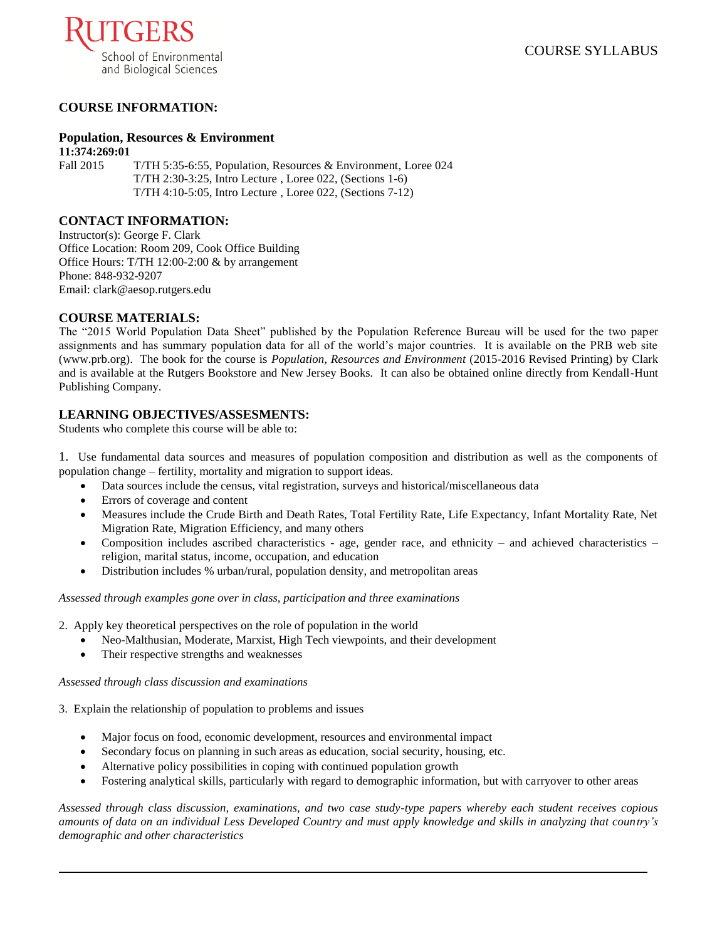

# **COURSE INFORMATION:**

### **Population, Resources & Environment**

**11:374:269:01** Fall 2015 T/TH 5:35-6:55, Population, Resources & Environment, Loree 024 T/TH 2:30-3:25, Intro Lecture , Loree 022, (Sections 1-6) T/TH 4:10-5:05, Intro Lecture , Loree 022, (Sections 7-12)

### **CONTACT INFORMATION:**

Instructor(s): George F. Clark Office Location: Room 209, Cook Office Building Office Hours: T/TH 12:00-2:00 & by arrangement Phone: 848-932-9207 Email: clark@aesop.rutgers.edu

### **COURSE MATERIALS:**

The "2015 World Population Data Sheet" published by the Population Reference Bureau will be used for the two paper assignments and has summary population data for all of the world's major countries. It is available on the PRB web site (www.prb.org). The book for the course is *Population, Resources and Environment* (2015-2016 Revised Printing) by Clark and is available at the Rutgers Bookstore and New Jersey Books. It can also be obtained online directly from Kendall-Hunt Publishing Company.

## **LEARNING OBJECTIVES/ASSESMENTS:**

Students who complete this course will be able to:

- 1. Use fundamental data sources and measures of population composition and distribution as well as the components of population change – fertility, mortality and migration to support ideas.
	- Data sources include the census, vital registration, surveys and historical/miscellaneous data
	- Errors of coverage and content
	- Measures include the Crude Birth and Death Rates, Total Fertility Rate, Life Expectancy, Infant Mortality Rate, Net Migration Rate, Migration Efficiency, and many others
	- Composition includes ascribed characteristics age, gender race, and ethnicity and achieved characteristics religion, marital status, income, occupation, and education
	- Distribution includes % urban/rural, population density, and metropolitan areas

*Assessed through examples gone over in class, participation and three examinations*

- 2. Apply key theoretical perspectives on the role of population in the world
	- Neo-Malthusian, Moderate, Marxist, High Tech viewpoints, and their development
	- Their respective strengths and weaknesses

#### *Assessed through class discussion and examinations*

3. Explain the relationship of population to problems and issues

- Major focus on food, economic development, resources and environmental impact
- Secondary focus on planning in such areas as education, social security, housing, etc.
- Alternative policy possibilities in coping with continued population growth
- Fostering analytical skills, particularly with regard to demographic information, but with carryover to other areas

*Assessed through class discussion, examinations, and two case study-type papers whereby each student receives copious amounts of data on an individual Less Developed Country and must apply knowledge and skills in analyzing that country's demographic and other characteristics*